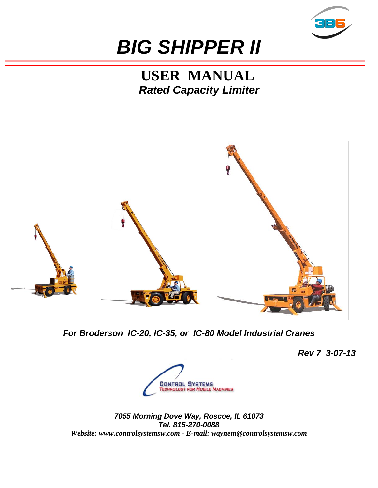

# *BIG SHIPPER II*

**USER MANUAL** *Rated Capacity Limiter*



*For Broderson IC-20, IC-35, or IC-80 Model Industrial Cranes*

*Rev 7 3-07-13*



*7055 Morning Dove Way, Roscoe, IL 61073 Tel. 815-270-0088 Website: www.controlsystemsw.com - E-mail: waynem@controlsystemsw.com*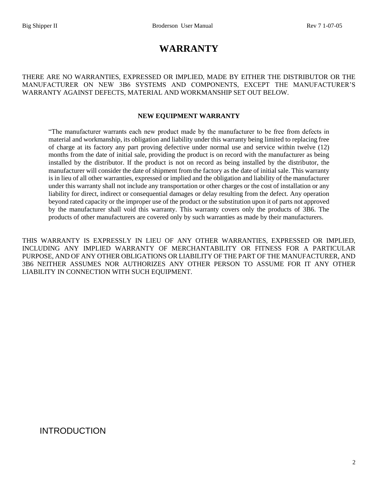# **WARRANTY**

THERE ARE NO WARRANTIES, EXPRESSED OR IMPLIED, MADE BY EITHER THE DISTRIBUTOR OR THE MANUFACTURER ON NEW 3B6 SYSTEMS AND COMPONENTS, EXCEPT THE MANUFACTURER'S WARRANTY AGAINST DEFECTS, MATERIAL AND WORKMANSHIP SET OUT BELOW.

#### **NEW EQUIPMENT WARRANTY**

"The manufacturer warrants each new product made by the manufacturer to be free from defects in material and workmanship, its obligation and liability under this warranty being limited to replacing free of charge at its factory any part proving defective under normal use and service within twelve (12) months from the date of initial sale, providing the product is on record with the manufacturer as being installed by the distributor. If the product is not on record as being installed by the distributor, the manufacturer will consider the date of shipment from the factory as the date of initial sale. This warranty is in lieu of all other warranties, expressed or implied and the obligation and liability of the manufacturer under this warranty shall not include any transportation or other charges or the cost of installation or any liability for direct, indirect or consequential damages or delay resulting from the defect. Any operation beyond rated capacity or the improper use of the product or the substitution upon it of parts not approved by the manufacturer shall void this warranty. This warranty covers only the products of 3B6. The products of other manufacturers are covered only by such warranties as made by their manufacturers.

THIS WARRANTY IS EXPRESSLY IN LIEU OF ANY OTHER WARRANTIES, EXPRESSED OR IMPLIED, INCLUDING ANY IMPLIED WARRANTY OF MERCHANTABILITY OR FITNESS FOR A PARTICULAR PURPOSE, AND OF ANY OTHER OBLIGATIONS OR LIABILITY OF THE PART OF THE MANUFACTURER, AND 3B6 NEITHER ASSUMES NOR AUTHORIZES ANY OTHER PERSON TO ASSUME FOR IT ANY OTHER LIABILITY IN CONNECTION WITH SUCH EQUIPMENT.

# INTRODUCTION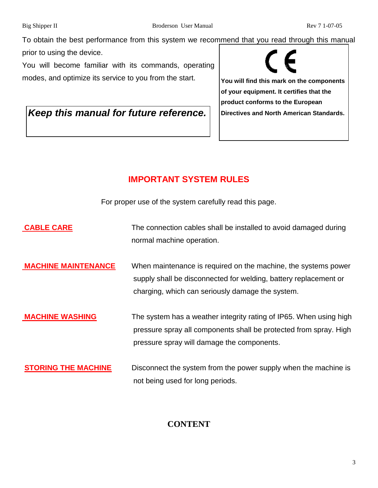To obtain the best performance from this system we recommend that you read through this manual prior to using the device.

You will become familiar with its commands, operating modes, and optimize its service to you from the start.

Keep this manual for future reference. **Directives and North American Standards.** 

**You will find this mark on the components of your equipment. It certifies that the product conforms to the European** 

# **IMPORTANT SYSTEM RULES**

For proper use of the system carefully read this page.

- **CABLE CARE** The connection cables shall be installed to avoid damaged during normal machine operation.
- **MACHINE MAINTENANCE** When maintenance is required on the machine, the systems power supply shall be disconnected for welding, battery replacement or charging, which can seriously damage the system.
- **MACHINE WASHING** The system has a weather integrity rating of IP65. When using high pressure spray all components shall be protected from spray. High pressure spray will damage the components.
- **STORING THE MACHINE** Disconnect the system from the power supply when the machine is not being used for long periods.

# **CONTENT**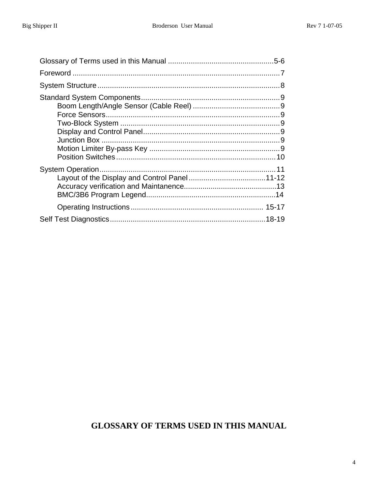# **GLOSSARY OF TERMS USED IN THIS MANUAL**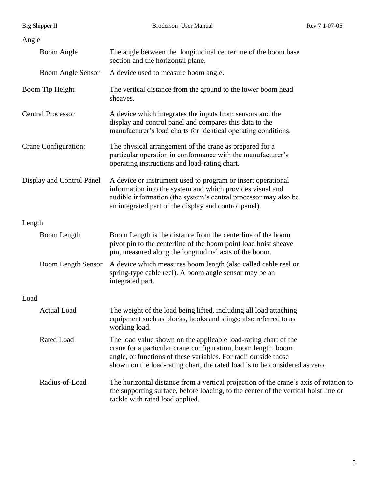| Big Shipper II            | Broderson User Manual                                                                                                                                                                                                                                                              | Rev 7 1-07-05 |
|---------------------------|------------------------------------------------------------------------------------------------------------------------------------------------------------------------------------------------------------------------------------------------------------------------------------|---------------|
| Angle                     |                                                                                                                                                                                                                                                                                    |               |
| <b>Boom Angle</b>         | The angle between the longitudinal centerline of the boom base<br>section and the horizontal plane.                                                                                                                                                                                |               |
| <b>Boom Angle Sensor</b>  | A device used to measure boom angle.                                                                                                                                                                                                                                               |               |
| Boom Tip Height           | The vertical distance from the ground to the lower boom head<br>sheaves.                                                                                                                                                                                                           |               |
| <b>Central Processor</b>  | A device which integrates the inputs from sensors and the<br>display and control panel and compares this data to the<br>manufacturer's load charts for identical operating conditions.                                                                                             |               |
| Crane Configuration:      | The physical arrangement of the crane as prepared for a<br>particular operation in conformance with the manufacturer's<br>operating instructions and load-rating chart.                                                                                                            |               |
| Display and Control Panel | A device or instrument used to program or insert operational<br>information into the system and which provides visual and<br>audible information (the system's central processor may also be<br>an integrated part of the display and control panel).                              |               |
| Length                    |                                                                                                                                                                                                                                                                                    |               |
| Boom Length               | Boom Length is the distance from the centerline of the boom<br>pivot pin to the centerline of the boom point load hoist sheave<br>pin, measured along the longitudinal axis of the boom.                                                                                           |               |
| <b>Boom Length Sensor</b> | A device which measures boom length (also called cable reel or<br>spring-type cable reel). A boom angle sensor may be an<br>integrated part.                                                                                                                                       |               |
| Load                      |                                                                                                                                                                                                                                                                                    |               |
| <b>Actual Load</b>        | The weight of the load being lifted, including all load attaching<br>equipment such as blocks, hooks and slings; also referred to as<br>working load.                                                                                                                              |               |
| Rated Load                | The load value shown on the applicable load-rating chart of the<br>crane for a particular crane configuration, boom length, boom<br>angle, or functions of these variables. For radii outside those<br>shown on the load-rating chart, the rated load is to be considered as zero. |               |
| Radius-of-Load            | The horizontal distance from a vertical projection of the crane's axis of rotation to<br>the supporting surface, before loading, to the center of the vertical hoist line or<br>tackle with rated load applied.                                                                    |               |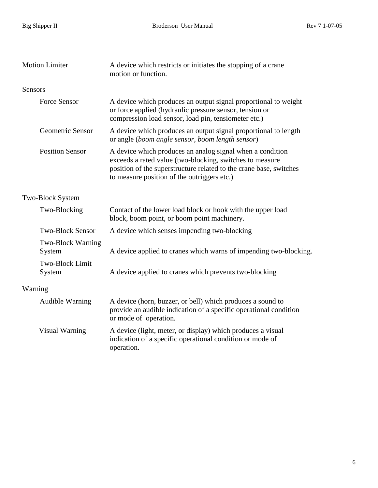| <b>Motion Limiter</b>   |                                    | A device which restricts or initiates the stopping of a crane<br>motion or function.                                                                                                                                                       |  |  |
|-------------------------|------------------------------------|--------------------------------------------------------------------------------------------------------------------------------------------------------------------------------------------------------------------------------------------|--|--|
| <b>Sensors</b>          |                                    |                                                                                                                                                                                                                                            |  |  |
|                         | <b>Force Sensor</b>                | A device which produces an output signal proportional to weight<br>or force applied (hydraulic pressure sensor, tension or<br>compression load sensor, load pin, tensiometer etc.)                                                         |  |  |
|                         | Geometric Sensor                   | A device which produces an output signal proportional to length<br>or angle (boom angle sensor, boom length sensor)                                                                                                                        |  |  |
|                         | <b>Position Sensor</b>             | A device which produces an analog signal when a condition<br>exceeds a rated value (two-blocking, switches to measure<br>position of the superstructure related to the crane base, switches<br>to measure position of the outriggers etc.) |  |  |
| <b>Two-Block System</b> |                                    |                                                                                                                                                                                                                                            |  |  |
|                         | Two-Blocking                       | Contact of the lower load block or hook with the upper load<br>block, boom point, or boom point machinery.                                                                                                                                 |  |  |
|                         | <b>Two-Block Sensor</b>            | A device which senses impending two-blocking                                                                                                                                                                                               |  |  |
|                         | <b>Two-Block Warning</b><br>System | A device applied to cranes which warns of impending two-blocking.                                                                                                                                                                          |  |  |
|                         | <b>Two-Block Limit</b><br>System   | A device applied to cranes which prevents two-blocking                                                                                                                                                                                     |  |  |
| Warning                 |                                    |                                                                                                                                                                                                                                            |  |  |
|                         | <b>Audible Warning</b>             | A device (horn, buzzer, or bell) which produces a sound to<br>provide an audible indication of a specific operational condition<br>or mode of operation.                                                                                   |  |  |
|                         | <b>Visual Warning</b>              | A device (light, meter, or display) which produces a visual<br>indication of a specific operational condition or mode of<br>operation.                                                                                                     |  |  |
|                         |                                    |                                                                                                                                                                                                                                            |  |  |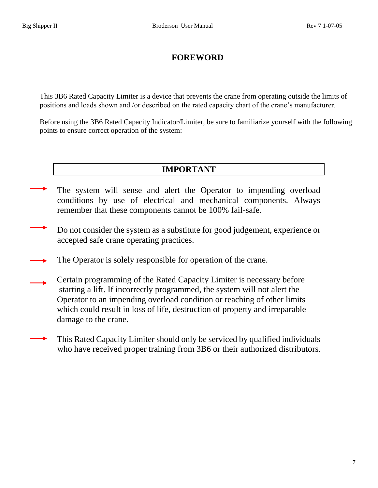# **FOREWORD**

This 3B6 Rated Capacity Limiter is a device that prevents the crane from operating outside the limits of positions and loads shown and /or described on the rated capacity chart of the crane's manufacturer.

Before using the 3B6 Rated Capacity Indicator/Limiter, be sure to familiarize yourself with the following points to ensure correct operation of the system:

# **IMPORTANT**

- The system will sense and alert the Operator to impending overload conditions by use of electrical and mechanical components. Always remember that these components cannot be 100% fail-safe.
- Do not consider the system as a substitute for good judgement, experience or accepted safe crane operating practices.
- The Operator is solely responsible for operation of the crane.
- Certain programming of the Rated Capacity Limiter is necessary before starting a lift. If incorrectly programmed, the system will not alert the Operator to an impending overload condition or reaching of other limits which could result in loss of life, destruction of property and irreparable damage to the crane.
- This Rated Capacity Limiter should only be serviced by qualified individuals who have received proper training from 3B6 or their authorized distributors.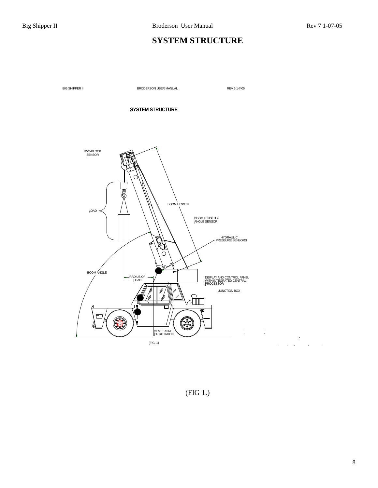# **SYSTEM STRUCTURE**

BIG SHIPPER II BRODERSON USER MANUAL REV 6 1-7-05

#### **SYSTEM STRUCTURE**



(FIG 1.)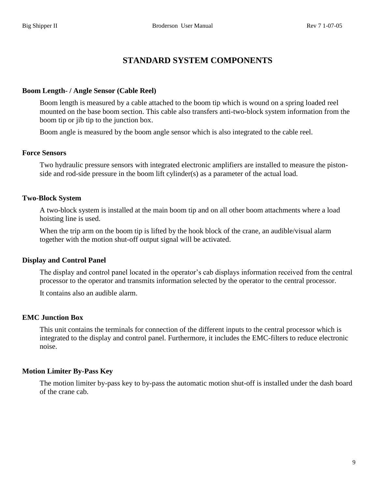# **STANDARD SYSTEM COMPONENTS**

#### **Boom Length- / Angle Sensor (Cable Reel)**

Boom length is measured by a cable attached to the boom tip which is wound on a spring loaded reel mounted on the base boom section. This cable also transfers anti-two-block system information from the boom tip or jib tip to the junction box.

Boom angle is measured by the boom angle sensor which is also integrated to the cable reel.

#### **Force Sensors**

Two hydraulic pressure sensors with integrated electronic amplifiers are installed to measure the pistonside and rod-side pressure in the boom lift cylinder(s) as a parameter of the actual load.

#### **Two-Block System**

A two-block system is installed at the main boom tip and on all other boom attachments where a load hoisting line is used.

When the trip arm on the boom tip is lifted by the hook block of the crane, an audible/visual alarm together with the motion shut-off output signal will be activated.

#### **Display and Control Panel**

The display and control panel located in the operator's cab displays information received from the central processor to the operator and transmits information selected by the operator to the central processor.

It contains also an audible alarm.

#### **EMC Junction Box**

This unit contains the terminals for connection of the different inputs to the central processor which is integrated to the display and control panel. Furthermore, it includes the EMC-filters to reduce electronic noise.

#### **Motion Limiter By-Pass Key**

The motion limiter by-pass key to by-pass the automatic motion shut-off is installed under the dash board of the crane cab.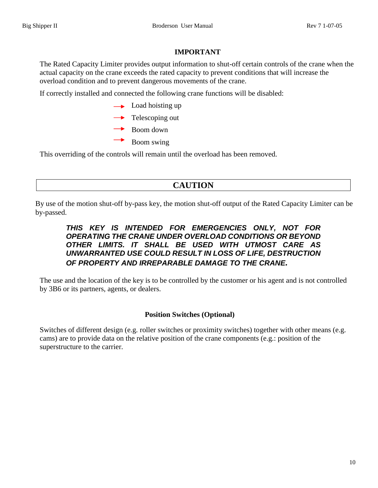## **IMPORTANT**

The Rated Capacity Limiter provides output information to shut-off certain controls of the crane when the actual capacity on the crane exceeds the rated capacity to prevent conditions that will increase the overload condition and to prevent dangerous movements of the crane.

If correctly installed and connected the following crane functions will be disabled:

- $\rightarrow$  Load hoisting up
- $\rightarrow$  Telescoping out
- $\rightarrow$  Boom down
	- Boom swing

This overriding of the controls will remain until the overload has been removed.

# **CAUTION**

By use of the motion shut-off by-pass key, the motion shut-off output of the Rated Capacity Limiter can be by-passed.

## *THIS KEY IS INTENDED FOR EMERGENCIES ONLY, NOT FOR OPERATING THE CRANE UNDER OVERLOAD CONDITIONS OR BEYOND OTHER LIMITS. IT SHALL BE USED WITH UTMOST CARE AS UNWARRANTED USE COULD RESULT IN LOSS OF LIFE, DESTRUCTION OF PROPERTY AND IRREPARABLE DAMAGE TO THE CRANE.*

The use and the location of the key is to be controlled by the customer or his agent and is not controlled by 3B6 or its partners, agents, or dealers.

## **Position Switches (Optional)**

Switches of different design (e.g. roller switches or proximity switches) together with other means (e.g. cams) are to provide data on the relative position of the crane components (e.g.: position of the superstructure to the carrier.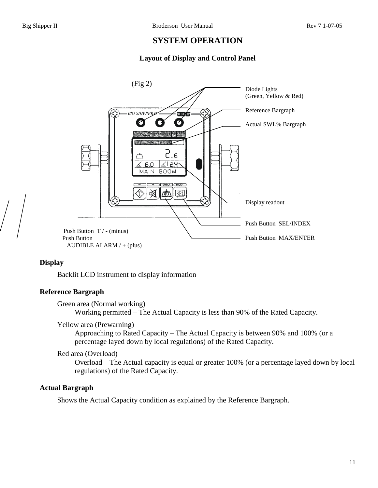# **SYSTEM OPERATION**

## **Layout of Display and Control Panel**



#### **Display**

Backlit LCD instrument to display information

#### **Reference Bargraph**

Green area (Normal working)

Working permitted – The Actual Capacity is less than 90% of the Rated Capacity.

#### Yellow area (Prewarning)

Approaching to Rated Capacity – The Actual Capacity is between 90% and 100% (or a percentage layed down by local regulations) of the Rated Capacity.

#### Red area (Overload)

Overload – The Actual capacity is equal or greater 100% (or a percentage layed down by local regulations) of the Rated Capacity.

#### **Actual Bargraph**

Shows the Actual Capacity condition as explained by the Reference Bargraph.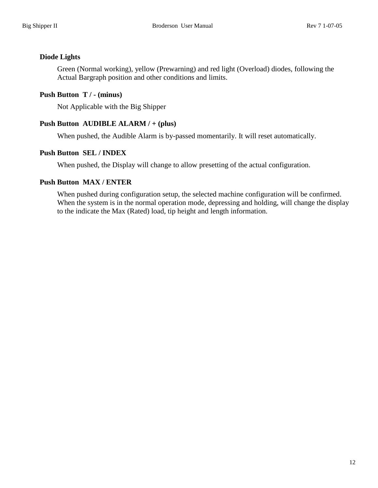#### **Diode Lights**

Green (Normal working), yellow (Prewarning) and red light (Overload) diodes, following the Actual Bargraph position and other conditions and limits.

## **Push Button T / - (minus)**

Not Applicable with the Big Shipper

## **Push Button AUDIBLE ALARM / + (plus)**

When pushed, the Audible Alarm is by-passed momentarily. It will reset automatically.

## **Push Button SEL / INDEX**

When pushed, the Display will change to allow presetting of the actual configuration.

## **Push Button MAX / ENTER**

When pushed during configuration setup, the selected machine configuration will be confirmed. When the system is in the normal operation mode, depressing and holding, will change the display to the indicate the Max (Rated) load, tip height and length information.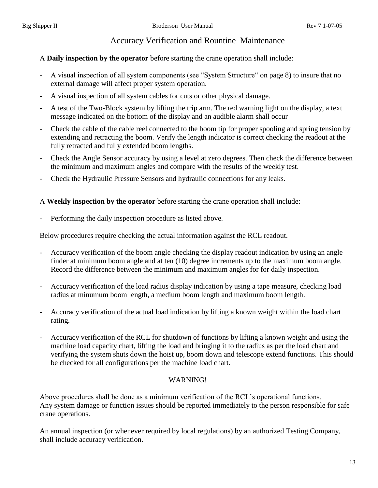# Accuracy Verification and Rountine Maintenance

## A **Daily inspection by the operator** before starting the crane operation shall include:

- A visual inspection of all system components (see "System Structure" on page 8) to insure that no external damage will affect proper system operation.
- A visual inspection of all system cables for cuts or other physical damage.
- A test of the Two-Block system by lifting the trip arm. The red warning light on the display, a text message indicated on the bottom of the display and an audible alarm shall occur
- Check the cable of the cable reel connected to the boom tip for proper spooling and spring tension by extending and retracting the boom. Verify the length indicator is correct checking the readout at the fully retracted and fully extended boom lengths.
- Check the Angle Sensor accuracy by using a level at zero degrees. Then check the difference between the minimum and maximum angles and compare with the results of the weekly test.
- Check the Hydraulic Pressure Sensors and hydraulic connections for any leaks.

## A **Weekly inspection by the operator** before starting the crane operation shall include:

Performing the daily inspection procedure as listed above.

Below procedures require checking the actual information against the RCL readout.

- Accuracy verification of the boom angle checking the display readout indication by using an angle finder at minimum boom angle and at ten (10) degree increments up to the maximum boom angle. Record the difference between the minimum and maximum angles for for daily inspection.
- Accuracy verification of the load radius display indication by using a tape measure, checking load radius at minumum boom length, a medium boom length and maximum boom length.
- Accuracy verification of the actual load indication by lifting a known weight within the load chart rating.
- Accuracy verification of the RCL for shutdown of functions by lifting a known weight and using the machine load capacity chart, lifting the load and bringing it to the radius as per the load chart and verifying the system shuts down the hoist up, boom down and telescope extend functions. This should be checked for all configurations per the machine load chart.

## WARNING!

Above procedures shall be done as a minimum verification of the RCL's operational functions. Any system damage or function issues should be reported immediately to the person responsible for safe crane operations.

An annual inspection (or whenever required by local regulations) by an authorized Testing Company, shall include accuracy verification.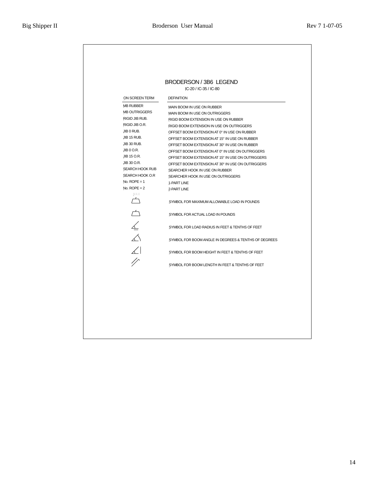| ON SCREEN TERM<br><b>DEFINITION</b><br><b>MB RUBBER</b><br>MAIN BOOM IN USE ON RUBBER<br><b>MB OUTRIGGERS</b><br>MAIN BOOM IN USE ON OUTRIGGERS<br>RIGID JIB RUB.<br>RIGID BOOM EXTENSION IN USE ON RUBBER<br>RIGID JIB O.R.<br>RIGID BOOM EXTENSION IN USE ON OUTRIGGERS<br>JIB 0 RUB.<br>OFFSET BOOM EXTENSION AT 0° IN USE ON RUBBER<br>JIB 15 RUB.<br>OFFSET BOOM EXTENSION AT 15° IN USE ON RUBBER<br>JIB 30 RUB.<br>OFFSET BOOM EXTENSION AT 30° IN USE ON RUBBER<br>JIB 0 O.R.<br>OFFSET BOOM EXTENSION AT 0° IN USE ON OUTRIGGERS<br>JIB 15 O.R.<br>OFFSET BOOM EXTENSION AT 15° IN USE ON OUTRIGGERS<br>JIB 30 O.R.<br>OFFSET BOOM EXTENSION AT 30° IN USE ON OUTRIGGERS<br><b>SEARCH HOOK RUB</b><br>SEARCHER HOOK IN USE ON RUBBER<br>SEARCH HOOK O.R<br>SEARCHER HOOK IN USE ON OUTRIGGERS<br>No. $ROPE = 1$<br>1-PART LINE<br>No. $ROPE = 2$<br>2-PART LINE<br>MAX<br>$\sqrt{2}$<br>SYMBOL FOR MAXIMUM ALLOWABLE LOAD IN POUNDS<br>$\overline{\Box}$<br>SYMBOL FOR ACTUAL LOAD IN POUNDS<br>$\n  4\n  4\n  4\n  5\n  6\n  6\n  7\n  8\n  9\n  1\n  1\n  1\n  1\n  1\n  1\n  1\n  1\n  1\n  1\n  1\n  1\n  1\n  1\n  1\n  SYMBOL FOR LOAD RADIUS IN FEET & TENTHS OF FEETSYMBOL FOR BOOM ANGLE IN DEGREES & TENTHS OF DEGREES\angleSYMBOL FOR BOOM HEIGHT IN FEET & TENTHS OF FEET\sqrt{ }SYMBOL FOR BOOM LENGTH IN FEET & TENTHS OF FEET$ |  |
|--------------------------------------------------------------------------------------------------------------------------------------------------------------------------------------------------------------------------------------------------------------------------------------------------------------------------------------------------------------------------------------------------------------------------------------------------------------------------------------------------------------------------------------------------------------------------------------------------------------------------------------------------------------------------------------------------------------------------------------------------------------------------------------------------------------------------------------------------------------------------------------------------------------------------------------------------------------------------------------------------------------------------------------------------------------------------------------------------------------------------------------------------------------------------------------------------------------------------------------------------------------------------------------------------------------------------------------------------------|--|
|                                                                                                                                                                                                                                                                                                                                                                                                                                                                                                                                                                                                                                                                                                                                                                                                                                                                                                                                                                                                                                                                                                                                                                                                                                                                                                                                                        |  |
|                                                                                                                                                                                                                                                                                                                                                                                                                                                                                                                                                                                                                                                                                                                                                                                                                                                                                                                                                                                                                                                                                                                                                                                                                                                                                                                                                        |  |
|                                                                                                                                                                                                                                                                                                                                                                                                                                                                                                                                                                                                                                                                                                                                                                                                                                                                                                                                                                                                                                                                                                                                                                                                                                                                                                                                                        |  |
|                                                                                                                                                                                                                                                                                                                                                                                                                                                                                                                                                                                                                                                                                                                                                                                                                                                                                                                                                                                                                                                                                                                                                                                                                                                                                                                                                        |  |
|                                                                                                                                                                                                                                                                                                                                                                                                                                                                                                                                                                                                                                                                                                                                                                                                                                                                                                                                                                                                                                                                                                                                                                                                                                                                                                                                                        |  |
|                                                                                                                                                                                                                                                                                                                                                                                                                                                                                                                                                                                                                                                                                                                                                                                                                                                                                                                                                                                                                                                                                                                                                                                                                                                                                                                                                        |  |
|                                                                                                                                                                                                                                                                                                                                                                                                                                                                                                                                                                                                                                                                                                                                                                                                                                                                                                                                                                                                                                                                                                                                                                                                                                                                                                                                                        |  |
|                                                                                                                                                                                                                                                                                                                                                                                                                                                                                                                                                                                                                                                                                                                                                                                                                                                                                                                                                                                                                                                                                                                                                                                                                                                                                                                                                        |  |
|                                                                                                                                                                                                                                                                                                                                                                                                                                                                                                                                                                                                                                                                                                                                                                                                                                                                                                                                                                                                                                                                                                                                                                                                                                                                                                                                                        |  |
|                                                                                                                                                                                                                                                                                                                                                                                                                                                                                                                                                                                                                                                                                                                                                                                                                                                                                                                                                                                                                                                                                                                                                                                                                                                                                                                                                        |  |
|                                                                                                                                                                                                                                                                                                                                                                                                                                                                                                                                                                                                                                                                                                                                                                                                                                                                                                                                                                                                                                                                                                                                                                                                                                                                                                                                                        |  |
|                                                                                                                                                                                                                                                                                                                                                                                                                                                                                                                                                                                                                                                                                                                                                                                                                                                                                                                                                                                                                                                                                                                                                                                                                                                                                                                                                        |  |
|                                                                                                                                                                                                                                                                                                                                                                                                                                                                                                                                                                                                                                                                                                                                                                                                                                                                                                                                                                                                                                                                                                                                                                                                                                                                                                                                                        |  |
|                                                                                                                                                                                                                                                                                                                                                                                                                                                                                                                                                                                                                                                                                                                                                                                                                                                                                                                                                                                                                                                                                                                                                                                                                                                                                                                                                        |  |
|                                                                                                                                                                                                                                                                                                                                                                                                                                                                                                                                                                                                                                                                                                                                                                                                                                                                                                                                                                                                                                                                                                                                                                                                                                                                                                                                                        |  |
|                                                                                                                                                                                                                                                                                                                                                                                                                                                                                                                                                                                                                                                                                                                                                                                                                                                                                                                                                                                                                                                                                                                                                                                                                                                                                                                                                        |  |
|                                                                                                                                                                                                                                                                                                                                                                                                                                                                                                                                                                                                                                                                                                                                                                                                                                                                                                                                                                                                                                                                                                                                                                                                                                                                                                                                                        |  |
|                                                                                                                                                                                                                                                                                                                                                                                                                                                                                                                                                                                                                                                                                                                                                                                                                                                                                                                                                                                                                                                                                                                                                                                                                                                                                                                                                        |  |
|                                                                                                                                                                                                                                                                                                                                                                                                                                                                                                                                                                                                                                                                                                                                                                                                                                                                                                                                                                                                                                                                                                                                                                                                                                                                                                                                                        |  |
|                                                                                                                                                                                                                                                                                                                                                                                                                                                                                                                                                                                                                                                                                                                                                                                                                                                                                                                                                                                                                                                                                                                                                                                                                                                                                                                                                        |  |
|                                                                                                                                                                                                                                                                                                                                                                                                                                                                                                                                                                                                                                                                                                                                                                                                                                                                                                                                                                                                                                                                                                                                                                                                                                                                                                                                                        |  |
|                                                                                                                                                                                                                                                                                                                                                                                                                                                                                                                                                                                                                                                                                                                                                                                                                                                                                                                                                                                                                                                                                                                                                                                                                                                                                                                                                        |  |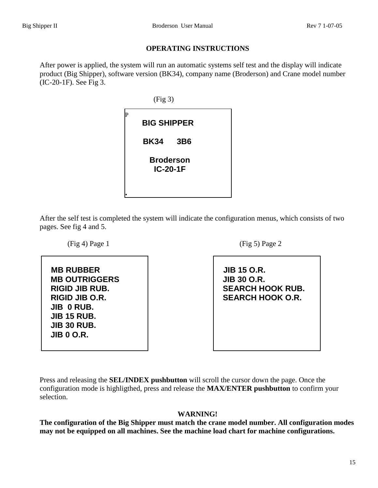#### **OPERATING INSTRUCTIONS**

After power is applied, the system will run an automatic systems self test and the display will indicate product (Big Shipper), software version (BK34), company name (Broderson) and Crane model number (IC-20-1F). See Fig 3.

> (Fig 3) P **BIG SHIPPER BK34 3B6 Broderson IC-20-1F I**

After the self test is completed the system will indicate the configuration menus, which consists of two pages. See fig 4 and 5.

 $(Fig 4)$  Page 1 (Fig 5) Page 2 **MB RUBBER MB OUTRIGGERS RIGID JIB RUB. RIGID JIB O.R. JIB 0 RUB. JIB 15 RUB. JIB 30 RUB. JIB 0 O.R.**

 **JIB 15 O.R. JIB 30 O.R. SEARCH HOOK RUB. SEARCH HOOK O.R.**

Press and releasing the **SEL/INDEX pushbutton** will scroll the cursor down the page. Once the configuration mode is highligthed, press and release the **MAX/ENTER pushbutton** to confirm your selection.

#### **WARNING!**

**The configuration of the Big Shipper must match the crane model number. All configuration modes may not be equipped on all machines. See the machine load chart for machine configurations.**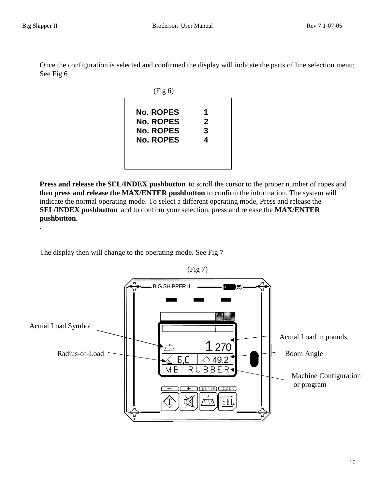Once the configuration is selected and confirmed the display will indicate the parts of line selection menu; See Fig 6



**Press and release the SEL/INDEX pushbutton** to scroll the cursor to the proper number of ropes and then **press and release the MAX/ENTER pushbutton** to confirm the information. The system will indicate the normal operating mode. To select a different operating mode, Press and release the **SEL/INDEX pushbutton** and to confirm your selection, press and release the **MAX/ENTER pushbutton.**  .

The display then will change to the operating mode. See Fig 7

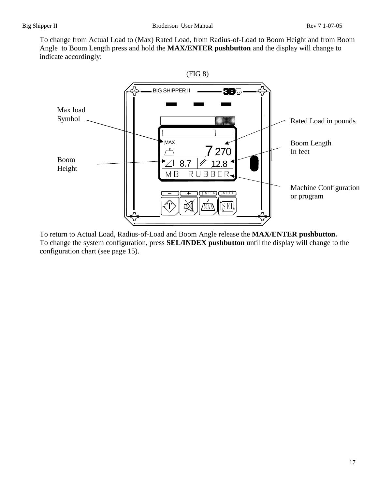To change from Actual Load to (Max) Rated Load, from Radius-of-Load to Boom Height and from Boom Angle to Boom Length press and hold the **MAX/ENTER pushbutton** and the display will change to indicate accordingly:



To return to Actual Load, Radius-of-Load and Boom Angle release the **MAX/ENTER pushbutton.** To change the system configuration, press **SEL/INDEX pushbutton** until the display will change to the configuration chart (see page 15).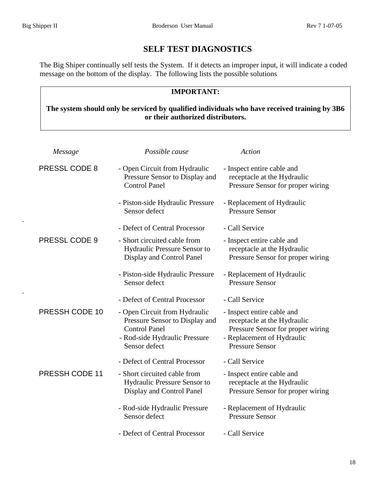.

.

# **SELF TEST DIAGNOSTICS**

The Big Shiper continually self tests the System. If it detects an improper input, it will indicate a coded message on the bottom of the display. The following lists the possible solutions

# **IMPORTANT:**

## **The system should only be serviced by qualified individuals who have received training by 3B6 or their authorized distributors.**

| Message              | Possible cause                                                                                                                            | Action                                                                                                                                                 |
|----------------------|-------------------------------------------------------------------------------------------------------------------------------------------|--------------------------------------------------------------------------------------------------------------------------------------------------------|
| PRESSL CODE 8        | - Open Circuit from Hydraulic<br>Pressure Sensor to Display and<br><b>Control Panel</b>                                                   | - Inspect entire cable and<br>receptacle at the Hydraulic<br>Pressure Sensor for proper wiring                                                         |
|                      | - Piston-side Hydraulic Pressure<br>Sensor defect                                                                                         | - Replacement of Hydraulic<br><b>Pressure Sensor</b>                                                                                                   |
|                      | - Defect of Central Processor                                                                                                             | - Call Service                                                                                                                                         |
| <b>PRESSL CODE 9</b> | - Short circuited cable from<br>Hydraulic Pressure Sensor to<br>Display and Control Panel                                                 | - Inspect entire cable and<br>receptacle at the Hydraulic<br>Pressure Sensor for proper wiring                                                         |
|                      | - Piston-side Hydraulic Pressure<br>Sensor defect                                                                                         | - Replacement of Hydraulic<br><b>Pressure Sensor</b>                                                                                                   |
|                      | - Defect of Central Processor                                                                                                             | - Call Service                                                                                                                                         |
| PRESSH CODE 10       | - Open Circuit from Hydraulic<br>Pressure Sensor to Display and<br><b>Control Panel</b><br>- Rod-side Hydraulic Pressure<br>Sensor defect | - Inspect entire cable and<br>receptacle at the Hydraulic<br>Pressure Sensor for proper wiring<br>- Replacement of Hydraulic<br><b>Pressure Sensor</b> |
|                      | - Defect of Central Processor                                                                                                             | - Call Service                                                                                                                                         |
| PRESSH CODE 11       | - Short circuited cable from<br>Hydraulic Pressure Sensor to<br>Display and Control Panel                                                 | - Inspect entire cable and<br>receptacle at the Hydraulic<br>Pressure Sensor for proper wiring                                                         |
|                      | - Rod-side Hydraulic Pressure<br>Sensor defect                                                                                            | - Replacement of Hydraulic<br><b>Pressure Sensor</b>                                                                                                   |
|                      | - Defect of Central Processor                                                                                                             | - Call Service                                                                                                                                         |